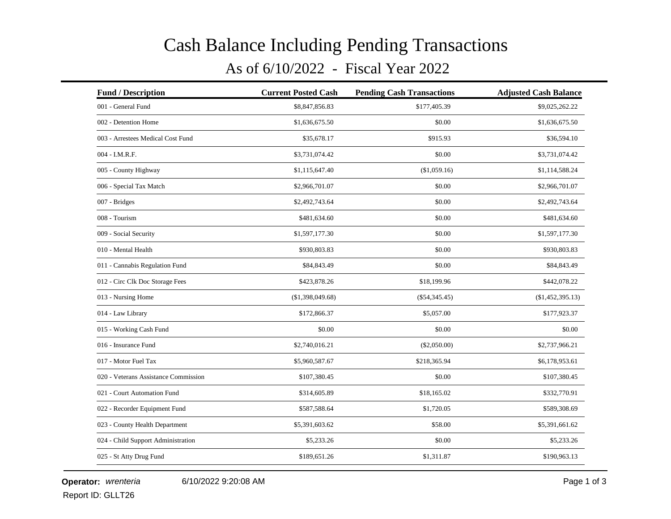## Cash Balance Including Pending Transactions

## As of 6/10/2022 - Fiscal Year 2022

| <b>Fund / Description</b>            | <b>Current Posted Cash</b> | <b>Pending Cash Transactions</b> | <b>Adjusted Cash Balance</b> |
|--------------------------------------|----------------------------|----------------------------------|------------------------------|
| 001 - General Fund                   | \$8,847,856.83             | \$177,405.39                     | \$9,025,262.22               |
| 002 - Detention Home                 | \$1,636,675.50             | \$0.00                           | \$1,636,675.50               |
| 003 - Arrestees Medical Cost Fund    | \$35,678.17                | \$915.93                         | \$36,594.10                  |
| $004 - I.M.R.F.$                     | \$3,731,074.42             | \$0.00                           | \$3,731,074.42               |
| 005 - County Highway                 | \$1,115,647.40             | (\$1,059.16)                     | \$1,114,588.24               |
| 006 - Special Tax Match              | \$2,966,701.07             | \$0.00                           | \$2,966,701.07               |
| 007 - Bridges                        | \$2,492,743.64             | \$0.00                           | \$2,492,743.64               |
| 008 - Tourism                        | \$481,634.60               | \$0.00                           | \$481,634.60                 |
| 009 - Social Security                | \$1,597,177.30             | \$0.00                           | \$1,597,177.30               |
| 010 - Mental Health                  | \$930,803.83               | \$0.00                           | \$930,803.83                 |
| 011 - Cannabis Regulation Fund       | \$84,843.49                | \$0.00                           | \$84,843.49                  |
| 012 - Circ Clk Doc Storage Fees      | \$423,878.26               | \$18,199.96                      | \$442,078.22                 |
| 013 - Nursing Home                   | (\$1,398,049.68)           | $(\$54,345.45)$                  | (\$1,452,395.13)             |
| 014 - Law Library                    | \$172,866.37               | \$5,057.00                       | \$177,923.37                 |
| 015 - Working Cash Fund              | \$0.00                     | \$0.00                           | \$0.00                       |
| 016 - Insurance Fund                 | \$2,740,016.21             | $(\$2,050.00)$                   | \$2,737,966.21               |
| 017 - Motor Fuel Tax                 | \$5,960,587.67             | \$218,365.94                     | \$6,178,953.61               |
| 020 - Veterans Assistance Commission | \$107,380.45               | \$0.00                           | \$107,380.45                 |
| 021 - Court Automation Fund          | \$314,605.89               | \$18,165.02                      | \$332,770.91                 |
| 022 - Recorder Equipment Fund        | \$587,588.64               | \$1,720.05                       | \$589,308.69                 |
| 023 - County Health Department       | \$5,391,603.62             | \$58.00                          | \$5,391,661.62               |
| 024 - Child Support Administration   | \$5,233.26                 | \$0.00                           | \$5,233.26                   |
| 025 - St Atty Drug Fund              | \$189,651.26               | \$1,311.87                       | \$190,963.13                 |
|                                      |                            |                                  |                              |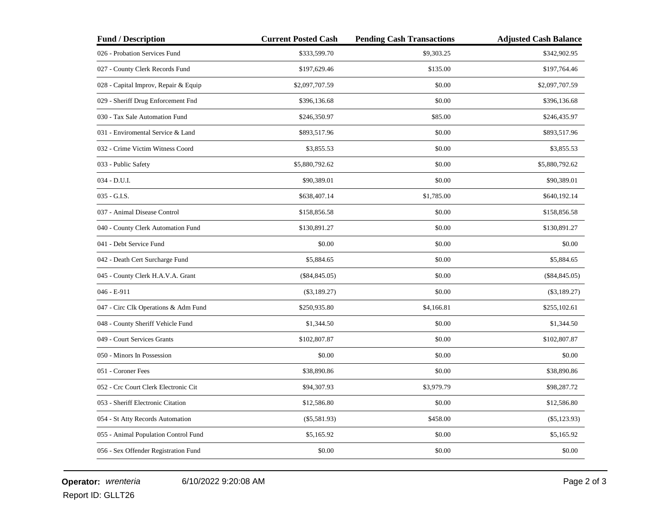| <b>Fund / Description</b>            | <b>Current Posted Cash</b> | <b>Pending Cash Transactions</b> | <b>Adjusted Cash Balance</b> |
|--------------------------------------|----------------------------|----------------------------------|------------------------------|
| 026 - Probation Services Fund        | \$333,599.70               | \$9,303.25                       | \$342,902.95                 |
| 027 - County Clerk Records Fund      | \$197,629.46               | \$135.00                         | \$197,764.46                 |
| 028 - Capital Improv, Repair & Equip | \$2,097,707.59             | \$0.00                           | \$2,097,707.59               |
| 029 - Sheriff Drug Enforcement Fnd   | \$396,136.68               | \$0.00                           | \$396,136.68                 |
| 030 - Tax Sale Automation Fund       | \$246,350.97               | \$85.00                          | \$246,435.97                 |
| 031 - Enviromental Service & Land    | \$893,517.96               | \$0.00                           | \$893,517.96                 |
| 032 - Crime Victim Witness Coord     | \$3,855.53                 | \$0.00                           | \$3,855.53                   |
| 033 - Public Safety                  | \$5,880,792.62             | \$0.00                           | \$5,880,792.62               |
| 034 - D.U.I.                         | \$90,389.01                | \$0.00                           | \$90,389.01                  |
| 035 - G.I.S.                         | \$638,407.14               | \$1,785.00                       | \$640,192.14                 |
| 037 - Animal Disease Control         | \$158,856.58               | \$0.00                           | \$158,856.58                 |
| 040 - County Clerk Automation Fund   | \$130,891.27               | \$0.00                           | \$130,891.27                 |
| 041 - Debt Service Fund              | \$0.00                     | \$0.00                           | \$0.00                       |
| 042 - Death Cert Surcharge Fund      | \$5,884.65                 | \$0.00                           | \$5,884.65                   |
| 045 - County Clerk H.A.V.A. Grant    | $(\$84,845.05)$            | \$0.00                           | $(\$84,845.05)$              |
| $046 - E-911$                        | $(\$3,189.27)$             | \$0.00                           | $(\$3,189.27)$               |
| 047 - Circ Clk Operations & Adm Fund | \$250,935.80               | \$4,166.81                       | \$255,102.61                 |
| 048 - County Sheriff Vehicle Fund    | \$1,344.50                 | \$0.00                           | \$1,344.50                   |
| 049 - Court Services Grants          | \$102,807.87               | \$0.00                           | \$102,807.87                 |
| 050 - Minors In Possession           | \$0.00                     | \$0.00                           | \$0.00                       |
| 051 - Coroner Fees                   | \$38,890.86                | \$0.00                           | \$38,890.86                  |
| 052 - Crc Court Clerk Electronic Cit | \$94,307.93                | \$3,979.79                       | \$98,287.72                  |
| 053 - Sheriff Electronic Citation    | \$12,586.80                | \$0.00                           | \$12,586.80                  |
| 054 - St Atty Records Automation     | $(\$5,581.93)$             | \$458.00                         | $(\$5,123.93)$               |
| 055 - Animal Population Control Fund | \$5,165.92                 | \$0.00                           | \$5,165.92                   |
| 056 - Sex Offender Registration Fund | \$0.00                     | \$0.00                           | \$0.00                       |
|                                      |                            |                                  |                              |